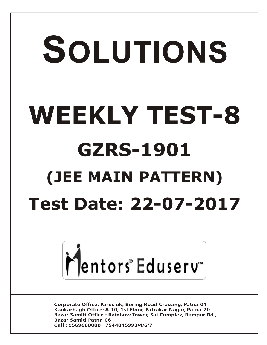# SOLUTIONS **WEEKLY TEST-8 GZRS-1901 (JEE MAIN PATTERN) Test Date: 22-07-2017**



**Corporate Office: Paruslok, Boring Road Crossing, Patna-01** Kankarbagh Office: A-10, 1st Floor, Patrakar Nagar, Patna-20 Bazar Samiti Office: Rainbow Tower, Sai Complex, Rampur Rd., **Bazar Samiti Patna-06** Call: 9569668800 | 7544015993/4/6/7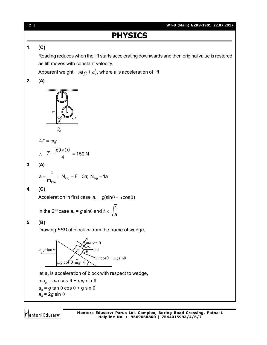## **PHYSICS**

#### **1. (C)**

Reading reduces when the lift starts accelerating downwards and then original value is restored as lift moves with constant velocity.

Apparent weight =  $m(g \pm a)$ , where *a* is acceleration of lift.

### **2. (A)**



$$
4T = mg
$$

$$
\therefore T = \frac{60 \times 10}{4} = 150 \text{ N}
$$

**3. (A)**

$$
a = \frac{F}{m_{\text{total}}}; \ \ N_{2kg} = F - 3a; \ N_{1kg} = 1a
$$

#### **4. (C)**

Acceleration in first case  $a_1 = g(\sin \theta - \mu \cos \theta)$ 

In the 2<sup>nd</sup> case  $a_{_2}$  =  $g$  sin $\theta$  and  $t$   $\propto$ 1 a

#### **5. (B)**

Drawing *FBD* of block *m* from the frame of wedge,



*ma<sub>0</sub>* = *ma* cos θ + *mg* sin θ

- $a^{\,}_{\text{o}}$  =  $g$  tan  $\theta$  cos  $\theta$  +  $g$  sin  $\theta$
- $a<sub>o</sub>$  = 2*g* sin  $\theta$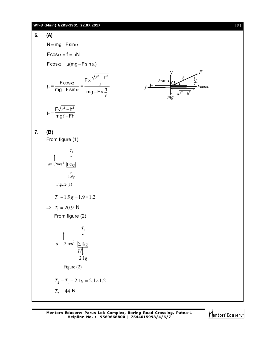#### **WT-8 (Main) GZRS-1901\_22.07.2017** [ **3** ]

#### **6. (A)**

 $N = mg - F \sin \alpha$ 

 $F\cos\alpha = f = \mu N$ 

 $F\cos\alpha = \mu(mg - F\sin\alpha)$ 

$$
\mu = \frac{F \cos \alpha}{mg - F \sin \alpha} = \frac{F \times \frac{\sqrt{\ell^2 - h^2}}{\ell}}{mg - F \times \frac{h}{\ell}}
$$



#### **7. (B)**

From figure (1)

 $F\sqrt{\ell^2 - h^2}$ mg $\ell$  – Fh  $\mu = \frac{F\sqrt{\ell^2 - 1}}{2}$ 

- $\ell$  $\ell$ 

$$
T_1
$$
\n
$$
a=1.2 \text{m/s}^2
$$
\n
$$
\frac{1}{1.9 \text{ kg}}
$$
\nFigure (1)\n
$$
T_1 - 1.9g = 1.9 \times 1.2
$$
\n
$$
\Rightarrow T_1 = 20.9 \text{ N}
$$
\nFrom figure (2)\n
$$
T_2
$$
\n
$$
a=1.2 \text{m/s}^2
$$
\n
$$
\frac{1}{T_1}
$$
\n
$$
2.1g
$$
\nFigure (2)\n
$$
T_2 - T_1 - 2.1g = 2.1 \times 1.2
$$
\n
$$
T_2 = 44 \text{ N}
$$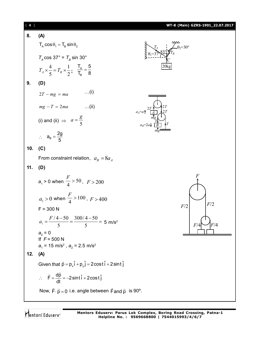| 8.<br>(A)<br>$T_{\rm A}$ cos $\theta_{\rm 1} = T_{\rm B}$ sin $\theta_{\rm 2}$<br>$T_A \cos 37^\circ = T_B \sin 30^\circ$<br>$T_A \times \frac{4}{5} = T_B \times \frac{1}{2}; \quad \frac{T_A}{T_B} = \frac{5}{8}$<br>9.<br>(D)<br>$\dots(i)$<br>$2T - mg = ma$<br>$mg - T = 2ma$<br>$\dots$ (ii)<br>$a_4 = a \uparrow$<br>(i) and (ii) $\Rightarrow a = \frac{g}{5}$<br>$\therefore a_B = \frac{2g}{5}$<br>10.<br>(C)<br>From constraint relation, $a_B = 8a_A$<br>11.<br>(D)<br>$a_1 > 0$ when $\frac{F}{4} > 50$ , $F > 200$<br>$a_2 > 0$ when $\frac{F}{4} > 100$ , $F > 400$<br>F/2<br>F/2<br>$F = 300 N$<br>$a_1 = \frac{F/4 - 50}{5} = \frac{300/4 - 50}{5} = 5$ m/s <sup>2</sup><br>-7/4<br>$a_2 = 0$<br>If $F = 500 N$<br>$a_1 = 15$ m/s <sup>2</sup> , $a_2 = 2.5$ m/s <sup>2</sup><br>12.<br>(A)<br>Given that $\vec{p} = p_x \hat{i} + p_y \hat{j} = 2 \cos t \hat{i} + 2 \sin t \hat{j}$<br>$\therefore$ $\vec{F} = \frac{d\vec{p}}{dt} = -2\sin t \hat{i} + 2\cos t \hat{j}$<br>Now, $\vec{F} \cdot \vec{p} = 0$ i.e. angle between $\vec{F}$ and $\vec{p}$ is 90°. | $[4]$ | WT-8 (Main) GZRS-1901_22.07.2017 |
|------------------------------------------------------------------------------------------------------------------------------------------------------------------------------------------------------------------------------------------------------------------------------------------------------------------------------------------------------------------------------------------------------------------------------------------------------------------------------------------------------------------------------------------------------------------------------------------------------------------------------------------------------------------------------------------------------------------------------------------------------------------------------------------------------------------------------------------------------------------------------------------------------------------------------------------------------------------------------------------------------------------------------------------------------------------------------------|-------|----------------------------------|
|                                                                                                                                                                                                                                                                                                                                                                                                                                                                                                                                                                                                                                                                                                                                                                                                                                                                                                                                                                                                                                                                                    |       |                                  |
|                                                                                                                                                                                                                                                                                                                                                                                                                                                                                                                                                                                                                                                                                                                                                                                                                                                                                                                                                                                                                                                                                    |       |                                  |
|                                                                                                                                                                                                                                                                                                                                                                                                                                                                                                                                                                                                                                                                                                                                                                                                                                                                                                                                                                                                                                                                                    |       |                                  |
|                                                                                                                                                                                                                                                                                                                                                                                                                                                                                                                                                                                                                                                                                                                                                                                                                                                                                                                                                                                                                                                                                    |       |                                  |
|                                                                                                                                                                                                                                                                                                                                                                                                                                                                                                                                                                                                                                                                                                                                                                                                                                                                                                                                                                                                                                                                                    |       |                                  |
|                                                                                                                                                                                                                                                                                                                                                                                                                                                                                                                                                                                                                                                                                                                                                                                                                                                                                                                                                                                                                                                                                    |       |                                  |
|                                                                                                                                                                                                                                                                                                                                                                                                                                                                                                                                                                                                                                                                                                                                                                                                                                                                                                                                                                                                                                                                                    |       |                                  |
|                                                                                                                                                                                                                                                                                                                                                                                                                                                                                                                                                                                                                                                                                                                                                                                                                                                                                                                                                                                                                                                                                    |       |                                  |
|                                                                                                                                                                                                                                                                                                                                                                                                                                                                                                                                                                                                                                                                                                                                                                                                                                                                                                                                                                                                                                                                                    |       |                                  |
|                                                                                                                                                                                                                                                                                                                                                                                                                                                                                                                                                                                                                                                                                                                                                                                                                                                                                                                                                                                                                                                                                    |       |                                  |
|                                                                                                                                                                                                                                                                                                                                                                                                                                                                                                                                                                                                                                                                                                                                                                                                                                                                                                                                                                                                                                                                                    |       |                                  |
|                                                                                                                                                                                                                                                                                                                                                                                                                                                                                                                                                                                                                                                                                                                                                                                                                                                                                                                                                                                                                                                                                    |       |                                  |
|                                                                                                                                                                                                                                                                                                                                                                                                                                                                                                                                                                                                                                                                                                                                                                                                                                                                                                                                                                                                                                                                                    |       |                                  |
|                                                                                                                                                                                                                                                                                                                                                                                                                                                                                                                                                                                                                                                                                                                                                                                                                                                                                                                                                                                                                                                                                    |       |                                  |
|                                                                                                                                                                                                                                                                                                                                                                                                                                                                                                                                                                                                                                                                                                                                                                                                                                                                                                                                                                                                                                                                                    |       |                                  |
|                                                                                                                                                                                                                                                                                                                                                                                                                                                                                                                                                                                                                                                                                                                                                                                                                                                                                                                                                                                                                                                                                    |       |                                  |
|                                                                                                                                                                                                                                                                                                                                                                                                                                                                                                                                                                                                                                                                                                                                                                                                                                                                                                                                                                                                                                                                                    |       |                                  |
|                                                                                                                                                                                                                                                                                                                                                                                                                                                                                                                                                                                                                                                                                                                                                                                                                                                                                                                                                                                                                                                                                    |       |                                  |
|                                                                                                                                                                                                                                                                                                                                                                                                                                                                                                                                                                                                                                                                                                                                                                                                                                                                                                                                                                                                                                                                                    |       |                                  |
|                                                                                                                                                                                                                                                                                                                                                                                                                                                                                                                                                                                                                                                                                                                                                                                                                                                                                                                                                                                                                                                                                    |       |                                  |
|                                                                                                                                                                                                                                                                                                                                                                                                                                                                                                                                                                                                                                                                                                                                                                                                                                                                                                                                                                                                                                                                                    |       |                                  |
|                                                                                                                                                                                                                                                                                                                                                                                                                                                                                                                                                                                                                                                                                                                                                                                                                                                                                                                                                                                                                                                                                    |       |                                  |
|                                                                                                                                                                                                                                                                                                                                                                                                                                                                                                                                                                                                                                                                                                                                                                                                                                                                                                                                                                                                                                                                                    |       |                                  |
|                                                                                                                                                                                                                                                                                                                                                                                                                                                                                                                                                                                                                                                                                                                                                                                                                                                                                                                                                                                                                                                                                    |       |                                  |

Mentors<sup>®</sup> Eduserv<sup>®</sup>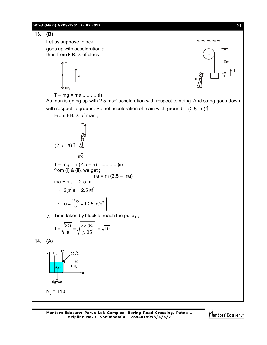#### **WT-8 (Main) GZRS-1901\_22.07.2017** [ **5** ]

Let us suppose, block

mg

T

goes up with acceleration a; then from F.B.D. of block ;

**13. (B)**



T – mg = ma ...........(i)

a

As man is going up with 2.5 ms<sup>-2</sup> acceleration with respect to string. And string goes down with respect to ground. So net acceleration of main w.r.t. ground =  $(2.5 - a)$ 

From FB.D. of man ;

$$
\begin{array}{c}\nT_{\uparrow} \\
\downarrow \\
(2.5-a)^{\uparrow} \\
\downarrow \\
\uparrow \\
\uparrow \\
\downarrow \\
\uparrow \\
\uparrow \\
\downarrow\n\end{array}
$$

 $T - mg = m(2.5 - a)$  ..............(ii) from (i) & (ii), we get ;  $ma = m (2.5 - ma)$  $ma + ma = 2.5 m$ 

$$
\Rightarrow 2\,\text{m/s} = 2.5\,\text{m/s}
$$

$$
\therefore a = \frac{2.5}{2} = 1.25 \text{ m/s}^2
$$

 $\therefore$  Time taken by block to reach the pulley;

$$
t=\sqrt{\frac{2S}{a}}=\sqrt{\frac{2\times\mathcal{10}}{\mathcal{1}\text{-}25}}=\sqrt{16}
$$

**14. (A)**



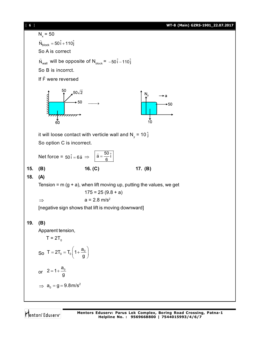[ **6** ] **WT-8 (Main) GZRS-1901\_22.07.2017**

 $N_x = 50$  $\overrightarrow{N}_{\text{block}} = 50\hat{i} + 110\hat{j}$ So A is correct  $\overline{\phantom{a}}$ will be opposite of  $N_{\text{block}} = -50 \hat{i} - 110 \hat{j}$  $\mathsf{N}_{\mathsf{wall}}$ So B is incorrct.  $\rightarrow$ If F were reversed  $.50\sqrt{2}$  $\begin{picture}(150,17) \put(150,17){\line(1,0){150}} \put(150,17){\line(1,0){150}} \put(150,17){\line(1,0){150}} \put(150,17){\line(1,0){150}} \put(150,17){\line(1,0){150}} \put(150,17){\line(1,0){150}} \put(150,17){\line(1,0){150}} \put(150,17){\line(1,0){150}} \put(150,17){\line(1,0){150}} \put(150,17){\line(1,0){15$ it will loose contact with verticle wall and N<sub>y</sub> = 10  $\hat{\text{j}}$ So option C is incorrect.  $\overline{a}$  $\vec{a} = \frac{50}{2}$ Net force =  $50\hat{i} = 6\vec{a} \implies |\vec{a} = \frac{50}{6}\hat{i}|$ 6 **15. (B) 16. (C) 17. (B) 18. (A)** Tension =  $m (g + a)$ , when lift moving up, putting the values, we get  $175 = 25 (9.8 + a)$  $\Rightarrow$  a = 2.8 m/s<sup>2</sup> [negative sign shows that lift is moving downward] **19. (B)** Apparent tension,  $T = 2T_0$  $T = 2T_0 = T_0 \left( 1 + \frac{a}{a} \right)$  $=2T_0 = T_0 \left(1 + \frac{a_0}{g}\right)$ So g or  $2 = 1 + \frac{a_0}{a}$ g  $\Rightarrow$   $a_0 = g = 9.8$ m/s<sup>2</sup>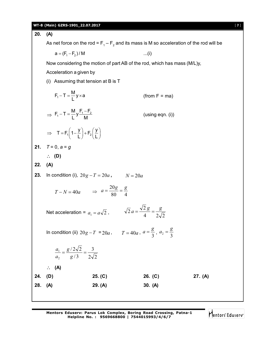**WT-8 (Main) GZRS-1901\_22.07.2017** [ **7** ]

**20. (A)** As net force on the rod =  $\mathsf{F}_{_{1}}\mathsf{-F}_{_{2}}$  and its mass is M so acceleration of the rod will be  $a = (F_1 - F_2) / M$  ...(i) Now considering the motion of part AB of the rod, which has mass (M/L)y, Acceleration a given by (i) Assuming that tension at B is T  $F_1 - T = \frac{M}{l}y \times a$ L  $(from F = ma)$  $\Rightarrow$  $F_1 - T = \frac{M}{I} y \frac{F_1 - F_2}{M}$  $(u\sin g$  eqn.  $(i))$  $\Rightarrow$  T = F<sub>1</sub> $\left(1-\frac{y}{L}\right)+F_2\left(\frac{y}{L}\right)$  $L$ )  $\sim$   $\angle L$ **21.** *T* = 0, *a* = *g* **(D) 22. (A) 23.** In condition (i),  $20g - T = 20a$ ,  $N = 20a$  $T - N = 40a$   $\Rightarrow$   $a = \frac{6}{80} = \frac{6}{4}$  $a = \frac{20g}{a^2} = \frac{g}{4}$ Net acceleration =  $a_1 = a\sqrt{2}$ ,  $\qquad \sqrt{2}a = \frac{a}{4} = \frac{b}{2\sqrt{2}}$  $\frac{1}{2}a = \frac{\sqrt{2}g}{4} = \frac{g}{4}$ In condition (ii)  $20g - T = 20a$ ,  $T = 40a$ ,  $a = \frac{6}{3}$  $a = \frac{g}{3}, a_2 = \frac{g}{3}$  $a_2 = \frac{g}{2}$  $2\sqrt{2}$ 3 / 3  $/ 2 \sqrt{2}$ 2  $\frac{1}{1} = \frac{87202}{12} =$ *g g a a*  **(A) 24. (D) 25. (C) 26. (C) 27. (A) 28. (A) 29. (A) 30. (A)**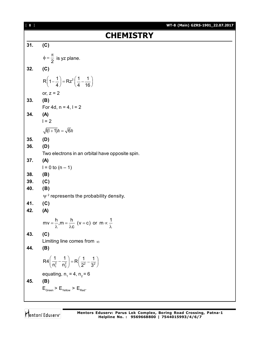| $\begin{bmatrix} 8 \end{bmatrix}$ | WT-8 (Main) GZRS-1901_22.07.2017                                                              |
|-----------------------------------|-----------------------------------------------------------------------------------------------|
|                                   | <b>CHEMISTRY</b>                                                                              |
| 31.                               | (C)                                                                                           |
|                                   | $\phi = \frac{\pi}{2}$ is yz plane.                                                           |
| 32.                               | (C)                                                                                           |
|                                   | $R\left(1-\frac{1}{4}\right)=Rz^2\left(\frac{1}{4}-\frac{1}{16}\right)$                       |
|                                   | or, $z = 2$                                                                                   |
| 33.                               | (B)<br>For 4d, $n = 4$ , $l = 2$                                                              |
| 34.                               | (A)                                                                                           |
|                                   | $1 = 2$                                                                                       |
|                                   | $\sqrt{1(1+1)}\hbar = \sqrt{6}\hbar$                                                          |
| 35.                               | (D)                                                                                           |
| 36.                               | (D)                                                                                           |
|                                   | Two electrons in an orbital have opposite spin.                                               |
| 37.                               | (A)                                                                                           |
| 38.                               | $1 = 0$ to $(n - 1)$<br>(B)                                                                   |
| 39.                               | (C)                                                                                           |
| 40.                               | (B)                                                                                           |
|                                   | $\Psi^2$ represents the probability density.                                                  |
| 41.                               | (C)                                                                                           |
| 42.                               | (A)                                                                                           |
|                                   | $mv = \frac{h}{\lambda}$ , $m = \frac{h}{\lambda c}$ (v = c) or $m \propto \frac{1}{\lambda}$ |
| 43.                               | (C)                                                                                           |
| 44.                               | Limiting line comes from $\infty$                                                             |
|                                   | (B)                                                                                           |
|                                   | $R4\left(\frac{1}{n_1^2}-\frac{1}{n_2^2}\right)=R\left(\frac{1}{2^2}-\frac{1}{3^2}\right)$    |
|                                   | equating, $n_1 = 4$ , $n_2 = 6$                                                               |
| 45.                               | (B)                                                                                           |
|                                   | $\mathsf{E}_{\mathsf{Green}} > \mathsf{E}_{\mathsf{yellow}} > \mathsf{E}_{\mathsf{Red}}.$     |
|                                   |                                                                                               |

Mentors<sup>®</sup> Eduserv<sup>®</sup>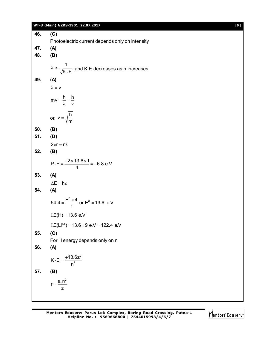#### **WT-8 (Main) GZRS-1901\_22.07.2017** [ **9** ]

**46. (C)** Photoelectric current depends only on intensity **47. (A) 48. (B)** 1  $K \cdot E$  $\lambda \propto$  $\equiv$  and K.E decreases as n increases **49. (A)**  $\lambda = v$  $mv = \frac{h}{r} = \frac{h}{r}$ v  $=\frac{11}{5}$  =  $\frac{1}{7}$  $\lambda$ or,  $v = \sqrt{\frac{h}{h}}$ m  $=$ **50. (B) 51. (D)**  $2\pi r = n\lambda$ **52. (B)**  $P \cdot E = \frac{-2 \times 13.6 \times 1}{4} = -6.8$  e.V 4  $\cdot E = \frac{-2 \times 13.6 \times 1}{4} = -6$ **53. (A)**  $\Delta F = h\nu$ **54. (A)** 54.4 =  $\frac{E^{0} \times 4}{4}$  or  $E^{0}$  = 13.6 e.V 1  $=\frac{E^0\times 4}{4}$  or  $E^0=1$  $I.E(H) = 13.6 e.V$  $LE(Li^{2}) = 13.6 \times 9$  e.V = 122.4 e.V **55. (C)** For H energy depends only on n **56. (A)** 2  $K \cdot E = \frac{+13.6z}{R^2}$ n  $\cdot$ E =  $\frac{+}{-}$ **57. (B)**  $r = \frac{a_0 n^2}{2}$ z  $=$ 

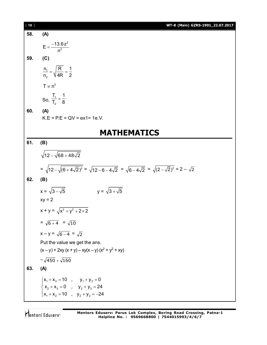| $[ 10 ]$ | WT-8 (Main) GZRS-1901_22.07.2017                                                                                                             |
|----------|----------------------------------------------------------------------------------------------------------------------------------------------|
| 58.      | (A)                                                                                                                                          |
|          | $E = \frac{-13.6z^2}{n^2}$                                                                                                                   |
| 59.      | (C)                                                                                                                                          |
|          | $\frac{n_1}{n_2} = \sqrt{\frac{R}{4R}} = \frac{1}{2}$                                                                                        |
|          | $T \propto n^3$                                                                                                                              |
|          | So, $\frac{T_1}{T_2} = \frac{1}{8}$                                                                                                          |
| 60.      | (A)<br>$K.E = P.E = QV = ex1 = 1e.V.$                                                                                                        |
|          | <b>MATHEMATICS</b>                                                                                                                           |
| 61.      | (B)                                                                                                                                          |
|          | $\sqrt{12-\sqrt{68+48\sqrt{2}}}$                                                                                                             |
|          | = $\sqrt{12-\sqrt{(6+4\sqrt{2})^2}}$ = $\sqrt{12-6-4\sqrt{2}}$ = $\sqrt{6-4\sqrt{2}}$ = $\sqrt{(2-\sqrt{2})^2}$ = $2-\sqrt{2}$               |
| 62.      | (B)                                                                                                                                          |
|          | $x = \sqrt{3 - \sqrt{5}}$<br>$y = \sqrt{3 + \sqrt{5}}$                                                                                       |
|          | $xy = 2$                                                                                                                                     |
|          | $x + y = \sqrt{x^2 + y^2 + 2 \times 2}$                                                                                                      |
|          | $=\sqrt{6+4} = \sqrt{10}$                                                                                                                    |
|          | $x - y = \sqrt{6 - 4} = \sqrt{2}$                                                                                                            |
|          | Put the value we get the ans.                                                                                                                |
|          | $(x - y) + 2xy (x + y) - xy(x - y) (x2 + y2 + xy)$                                                                                           |
|          | $-\sqrt{450} + \sqrt{160}$                                                                                                                   |
| 63.      | (A)                                                                                                                                          |
|          |                                                                                                                                              |
|          | $\begin{cases} x_1 + x_3 = 10 & , & y_1 + y_3 = 0 \\ x_2 + x_3 = 0 & , & y_2 + y_3 = 24 \\ x_1 + x_2 = 10 & , & y_2 + y_2 = -24 \end{cases}$ |
|          |                                                                                                                                              |

Mentors<sup>®</sup> Eduserv<sup>®</sup>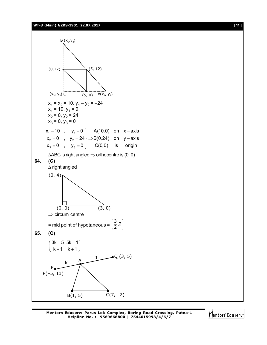#### **WT-8 (Main) GZRS-1901\_22.07.2017** [ **11** ]



Mentors Eduserv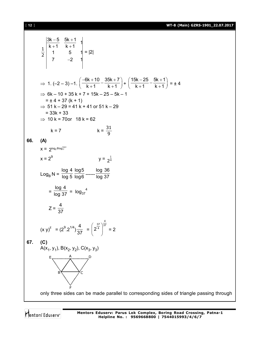[ **12** ] **WT-8 (Main) GZRS-1901\_22.07.2017**

$$
\frac{3k-5}{2} \begin{vmatrix} \frac{3k-5}{k+1} & \frac{5k+1}{k+1} \\ 1 & 5 \\ 7 & -2 \end{vmatrix} = |2|
$$
\n⇒ 1. (-2-3)-1.  $\left(\frac{-6k+10}{k+1} - \frac{35k+7}{k+1}\right) + \left(\frac{15k-25}{k+1} - \frac{5k+1}{k+1}\right) = \pm 4$   
\n⇒ 6k-10+35k+7+15k-25-5k-1  
\n⇒ t+4+37 (k+1)  
\n⇒ 51 k-29 = 41 k + 41 or 51 k-29  
\n= 33k + 33  
\n⇒ 10 k = 70 or 18 k = 62  
\n $k = 7$   $k = \frac{31}{9}$   
\n66. (A)  
\n $x = 2^{log_2 8log_1^{128}}$   
\n $x = 2^9$   $y = \frac{1}{2^4}$   
\n $Log_1 N = \frac{log 4 log 5 log 30}{log 6}$   $Log 37$   
\n $= \frac{log 4}{log 3} = log_{37} 4$   
\n $Z = \frac{4}{37}$   
\n $(x y)^z = (2^9.2^{1/4}) \frac{4}{37} = (2^{\frac{37}{4}})^{\frac{4}{37}} = 2$   
\n67. (C)  
\n $A(X_1, Y_1)$ ,  $B(X_2, Y_2)$ ,  $C(X_3, Y_3)$   
\n $= \frac{k \times 4}{\sqrt{2}}$   
\nSOR. A(X<sub>1</sub>, Y<sub>1</sub>), B(X<sub>2</sub>, Y<sub>2</sub>), C(X<sub>3</sub>, Y<sub>3</sub>)  
\n $= \frac{k \times 4}{\sqrt{2}}$   
\nSOR. A(X<sub>1</sub>, Y<sub>1</sub>), B(X<sub>2</sub>, Y<sub>2</sub>), C(X<sub>3</sub>, Y<sub>3</sub>)  
\n $= \frac{k \times 4}{\sqrt{2}}$   
\nSOR. A(X<sub>1</sub>, Y<sub>1</sub>), B(X<sub>2</sub>, Y<sub>2</sub>

Mentors<sup>e</sup> Eduserv<sup>-</sup>

**Mentors Eduserv: Parus Lok Complex, Boring Road Crossing, Patna-1 Helpline No. : 9569668800 | 7544015993/4/6/7**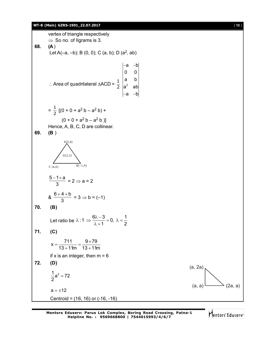#### **WT-8 (Main) GZRS-1901\_22.07.2017** [ **13** ]

vertex of triangle respectively  $\Rightarrow$  So no. of Ilgrams is 3. **68. (A** ) Let A(-a, -b); B (0, 0); C (a, b); D (a<sup>2</sup>, ab) ∴ Area of quadrilateral ∆ACD =  $\frac{1}{2}$   $\Big|_a^a$ a –b| 0 0 a b  $a^2$  ab a –b| –a –b –a –b  $=\frac{1}{2}$  [(0 + 0 + a<sup>2</sup> b – a<sup>2</sup> b) +  $(0 + 0 + a<sup>2</sup> b - a<sup>2</sup> b)$ ] Hence, A, B, C, D are collinear. **69. (B** )  $G(2,3)$  $A(5.6)$  $C$  (a,b)  $5 - 1 + a$ 3  $-1+$ a  $= 2 \Rightarrow a = 2$ &  $6 + 4 + b$ 3  $+4+$  $= 3 \Rightarrow b = (-1)$ **70. (B)** Let ratio be  $\lambda$  : 1  $\Rightarrow \frac{6\lambda - 3}{3} = 0$ ,  $\lambda = \frac{1}{2}$  $1 \quad 2$  $\lambda$ :1  $\Rightarrow \frac{6\lambda - 3}{2} = 0$ ,  $\lambda = \frac{1}{2}$  $\lambda + 1$ **71. (C)**  $x = \frac{711}{12 \cdot 11} = \frac{9 \times 79}{12 \cdot 11}$  $13 + 11m$   $13 + 11m$  $=\frac{711}{12 \cdot 11}=\frac{9 \times 11}{12 \cdot 11}$  $+11m$   $13+1$ if x is an integer, then  $m = 6$ **72. (D)**  $\frac{1}{2}a^2 = 72$ 2  $=$ (a, 2a)  $(a, a)$   $(2a, a)$  $a = \pm 12$ Centroid = (16, 16) or (-16, -16)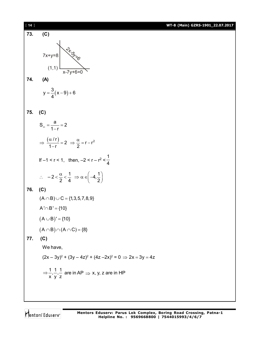| $[14]$ |                                                                                                      | WT-8 (Main) GZRS-1901_22.07.2017 |
|--------|------------------------------------------------------------------------------------------------------|----------------------------------|
| 73.    | (C)                                                                                                  |                                  |
|        |                                                                                                      |                                  |
|        | $7x+y=8$                                                                                             |                                  |
|        | (1,1)                                                                                                |                                  |
| 74.    |                                                                                                      |                                  |
|        | (A)                                                                                                  |                                  |
|        | $y = \frac{3}{4}(x-9)+6$                                                                             |                                  |
|        |                                                                                                      |                                  |
| 75.    | (C)                                                                                                  |                                  |
|        | $S_{\infty} = \frac{a}{1-r} = 2$                                                                     |                                  |
|        |                                                                                                      |                                  |
|        | $\Rightarrow \frac{(\alpha/r)}{1-r} = 2 \Rightarrow \frac{\alpha}{2} = r - r^2$                      |                                  |
|        | If $-1 < r < 1$ , then, $-2 < r - r^2 < \frac{1}{4}$                                                 |                                  |
|        | $\therefore -2 < \frac{\alpha}{2} < \frac{1}{4} \Rightarrow \alpha \in \left(-4, \frac{1}{2}\right)$ |                                  |
| 76.    | (C)                                                                                                  |                                  |
|        | $(A \cap B) \cup C = \{1, 3, 5, 7, 8, 9\}$                                                           |                                  |
|        | $A' \cap B' = \{10\}$                                                                                |                                  |
|        | $(A \cup B)' = \{10\}$                                                                               |                                  |
|        | $(A \cap B) \cap (A \cap C) = \{8\}$                                                                 |                                  |
| 77.    | (C)                                                                                                  |                                  |
|        | We have,                                                                                             |                                  |
|        | $(2x-3y)^2$ + $(3y-4z)^2$ + $(4z-2x)^2$ = 0 $\Rightarrow$ 2x = 3y = 4z                               |                                  |
|        | $\Rightarrow \frac{1}{x}, \frac{1}{y}, \frac{1}{z}$ are in AP $\Rightarrow$ x, y, z are in HP        |                                  |
|        |                                                                                                      |                                  |
|        |                                                                                                      |                                  |

Mentors<sup>e</sup> Eduserv<sup>-</sup>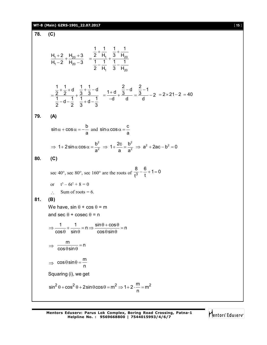### **WT-8 (Main) GZRS-1901\_22.07.2017** [ **15** ]

**78. (C)**

$$
\frac{H_1+2}{H_1-2} + \frac{H_{20}+3}{H_{20}-3} = \frac{\frac{1}{2} + \frac{1}{H_1}}{\frac{1}{2} - \frac{1}{H_1}} + \frac{\frac{1}{3} + \frac{1}{H_{20}}}{\frac{1}{3} - \frac{1}{H_{20}}}
$$
\n
$$
= \frac{\frac{1}{2} + \frac{1}{2} + d}{\frac{1}{2} - d - \frac{1}{2}} + \frac{\frac{1}{3} + \frac{1}{3} - d}{\frac{1}{3} + d - \frac{1}{d}} = \frac{1 + d}{-d} + \frac{\frac{2}{3} - d}{d} = \frac{\frac{2}{3} - 1}{d} - 2 = 2 \times 21 - 2 = 40
$$
\n79. (A)  
\n
$$
\sin \alpha + \cos \alpha = -\frac{b}{a} \text{ and } \sin \alpha \cos \alpha = \frac{c}{a}
$$
\n
$$
\Rightarrow 1 + 2 \sin \alpha \cos \alpha = \frac{b^2}{a^2} \Rightarrow 1 + \frac{2c}{a} = \frac{b^2}{a^2} \Rightarrow a^2 + 2ac - b^2 = 0
$$
\n80. (C)  
\n
$$
\sec 40^\circ, \sec 80^\circ, \sec 160^\circ \text{ are the roots of } \frac{8}{t^3} - \frac{6}{t} + 1 = 0
$$
\nor  $t^3 - 6t^2 + 8 = 0$   
\n $\therefore$  Sum of roots = 6.  
\n81. (B)  
\nWe have,  $\sin \theta + \cos \theta = m$   
\nand  $\sec \theta + \csc \theta = n$   
\n $\Rightarrow \frac{1}{\cos \theta + \sin \theta} = n \Rightarrow \frac{\sin \theta + \cos \theta}{\cos \theta \sin \theta} = n$   
\n $\Rightarrow \cos \theta \sin \theta = \frac{m}{n}$   
\n $\Rightarrow \cos \theta \sin \theta = \frac{m}{n}$   
\nSquaring (i), we get  
\n $\sin^2 \theta + \cos^2 \theta + 2 \sin \theta \cos \theta = m^2 \Rightarrow 1 + 2 \cdot \frac{m}{n} = m^2$ 

Mentors<sup>e</sup> Eduserv<sup>-</sup>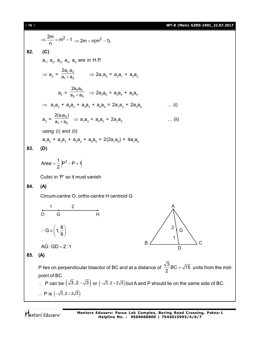[ **16** ] **WT-8 (Main) GZRS-1901\_22.07.2017**